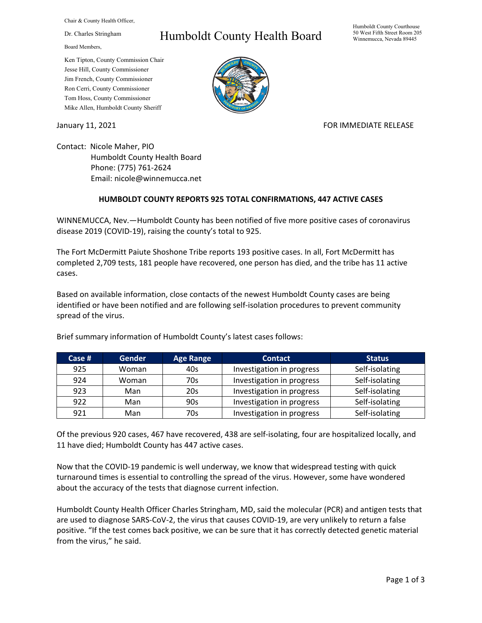Chair & County Health Officer,

Dr. Charles Stringham

Board Members,

## Ken Tipton, County Commission Chair Jesse Hill, County Commissioner Jim French, County Commissioner Ron Cerri, County Commissioner Tom Hoss, County Commissioner Mike Allen, Humboldt County Sheriff

## Humboldt County Health Board



## January 11, 2021 **FOR IMMEDIATE RELEASE**

Contact: Nicole Maher, PIO Humboldt County Health Board Phone: (775) 761-2624 Email: nicole@winnemucca.net

## **HUMBOLDT COUNTY REPORTS 925 TOTAL CONFIRMATIONS, 447 ACTIVE CASES**

WINNEMUCCA, Nev.—Humboldt County has been notified of five more positive cases of coronavirus disease 2019 (COVID-19), raising the county's total to 925.

The Fort McDermitt Paiute Shoshone Tribe reports 193 positive cases. In all, Fort McDermitt has completed 2,709 tests, 181 people have recovered, one person has died, and the tribe has 11 active cases.

Based on available information, close contacts of the newest Humboldt County cases are being identified or have been notified and are following self-isolation procedures to prevent community spread of the virus.

| Case # | <b>Gender</b> | <b>Age Range</b> | <b>Contact</b>            | <b>Status</b>  |
|--------|---------------|------------------|---------------------------|----------------|
| 925    | Woman         | 40s              | Investigation in progress | Self-isolating |
| 924    | Woman         | 70s              | Investigation in progress | Self-isolating |
| 923    | Man           | 20s              | Investigation in progress | Self-isolating |
| 922    | Man           | 90s              | Investigation in progress | Self-isolating |
| 921    | Man           | 70s              | Investigation in progress | Self-isolating |

Brief summary information of Humboldt County's latest cases follows:

Of the previous 920 cases, 467 have recovered, 438 are self-isolating, four are hospitalized locally, and 11 have died; Humboldt County has 447 active cases.

Now that the COVID-19 pandemic is well underway, we know that widespread testing with quick turnaround times is essential to controlling the spread of the virus. However, some have wondered about the accuracy of the tests that diagnose current infection.

Humboldt County Health Officer Charles Stringham, MD, said the molecular (PCR) and antigen tests that are used to diagnose SARS-CoV-2, the virus that causes COVID-19, are very unlikely to return a false positive. "If the test comes back positive, we can be sure that it has correctly detected genetic material from the virus," he said.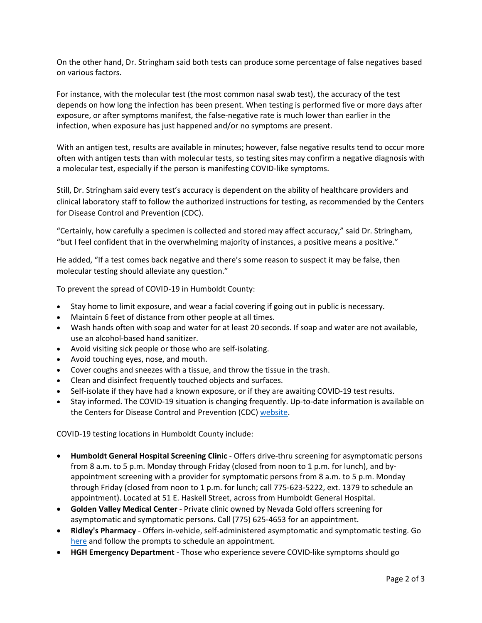On the other hand, Dr. Stringham said both tests can produce some percentage of false negatives based on various factors.

For instance, with the molecular test (the most common nasal swab test), the accuracy of the test depends on how long the infection has been present. When testing is performed five or more days after exposure, or after symptoms manifest, the false-negative rate is much lower than earlier in the infection, when exposure has just happened and/or no symptoms are present.

With an antigen test, results are available in minutes; however, false negative results tend to occur more often with antigen tests than with molecular tests, so testing sites may confirm a negative diagnosis with a molecular test, especially if the person is manifesting COVID-like symptoms.

Still, Dr. Stringham said every test's accuracy is dependent on the ability of healthcare providers and clinical laboratory staff to follow the authorized instructions for testing, as recommended by the Centers for Disease Control and Prevention (CDC).

"Certainly, how carefully a specimen is collected and stored may affect accuracy," said Dr. Stringham, "but I feel confident that in the overwhelming majority of instances, a positive means a positive."

He added, "If a test comes back negative and there's some reason to suspect it may be false, then molecular testing should alleviate any question."

To prevent the spread of COVID-19 in Humboldt County:

- Stay home to limit exposure, and wear a facial covering if going out in public is necessary.
- Maintain 6 feet of distance from other people at all times.
- Wash hands often with soap and water for at least 20 seconds. If soap and water are not available, use an alcohol-based hand sanitizer.
- Avoid visiting sick people or those who are self-isolating.
- Avoid touching eyes, nose, and mouth.
- Cover coughs and sneezes with a tissue, and throw the tissue in the trash.
- Clean and disinfect frequently touched objects and surfaces.
- Self-isolate if they have had a known exposure, or if they are awaiting COVID-19 test results.
- Stay informed. The COVID-19 situation is changing frequently. Up-to-date information is available on the Centers for Disease Control and Prevention (CDC) [website.](http://www.cdc.gov/coronavirus/2019-ncov/index.html)

COVID-19 testing locations in Humboldt County include:

- **Humboldt General Hospital Screening Clinic** Offers drive-thru screening for asymptomatic persons from 8 a.m. to 5 p.m. Monday through Friday (closed from noon to 1 p.m. for lunch), and byappointment screening with a provider for symptomatic persons from 8 a.m. to 5 p.m. Monday through Friday (closed from noon to 1 p.m. for lunch; call 775-623-5222, ext. 1379 to schedule an appointment). Located at 51 E. Haskell Street, across from Humboldt General Hospital.
- **Golden Valley Medical Center** Private clinic owned by Nevada Gold offers screening for asymptomatic and symptomatic persons. Call (775) 625-4653 for an appointment.
- **Ridley's Pharmacy** Offers in-vehicle, self-administered asymptomatic and symptomatic testing. Go [here](https://www.doineedacovid19test.com/Winnemucca_NV_1098.html) and follow the prompts to schedule an appointment.
- **HGH Emergency Department**  Those who experience severe COVID-like symptoms should go